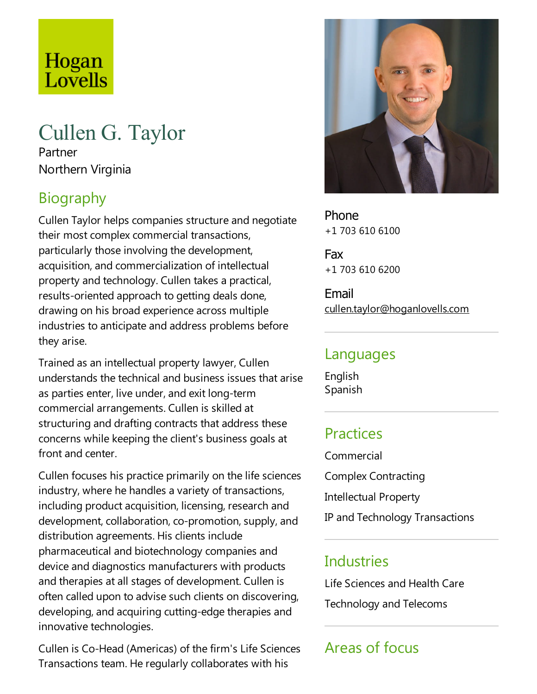# Hogan Lovells

# Cullen G. Taylor

Partner Northern Virginia

## Biography

Cullen Taylor helps companies structure and negotiate their most complex commercial transactions, particularly those involving the development, acquisition, and commercialization of intellectual property and technology. Cullen takes a practical, results-oriented approach to getting deals done, drawing on his broad experience across multiple industries to anticipate and address problems before they arise.

Trained as an intellectual property lawyer, Cullen understands the technical and business issues that arise as parties enter, live under, and exit long-term commercial arrangements. Cullen is skilled at structuring and drafting contracts that address these concerns while keeping the client's business goals at front and center.

Cullen focuses his practice primarily on the life sciences industry, where he handles a variety of transactions, including product acquisition, licensing, research and development, collaboration, co-promotion, supply, and distribution agreements. His clients include pharmaceutical and biotechnology companies and device and diagnostics manufacturers with products and therapies at all stages of development. Cullen is often called upon to advise such clients on discovering, developing, and acquiring cutting-edge therapies and innovative technologies.

Cullen is Co-Head (Americas) of the firm's Life Sciences Transactions team. Heregularly collaborates with his



Phone +1 703 610 6100

Fax +1 703 610 6200

Email cullen.taylor@hoganlovells.com

#### Languages

English Spanish

## Practices

Commercial Complex Contracting Intellectual Property IP and Technology Transactions

#### **Industries**

Life Sciences and Health Care

Technology and Telecoms

# Areas of focus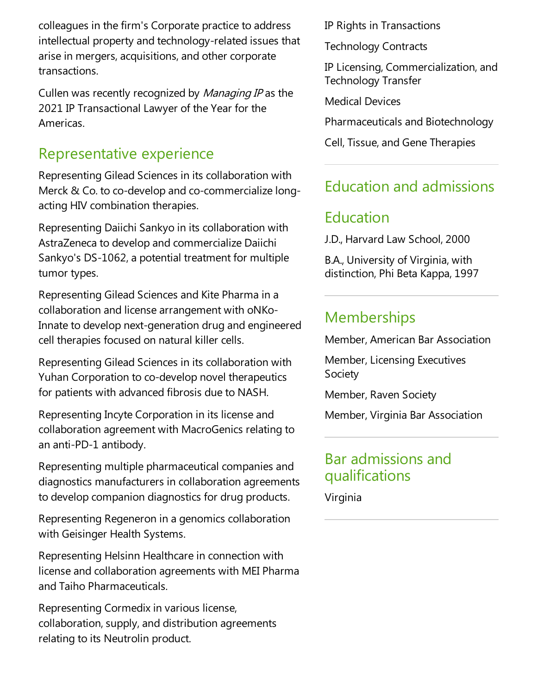colleagues in the firm's Corporate practice to address intellectual property and technology-related issues that arise in mergers, acquisitions, and other corporate transactions.

Cullen was recently recognized by Managing IP as the 2021 IP Transactional Lawyer of the Year for the Americas.

#### Representative experience

Representing Gilead Sciences in its collaboration with Merck & Co. to co-develop and co-commercialize longacting HIV combination therapies.

Representing Daiichi Sankyo in its collaboration with AstraZeneca to develop and commercialize Daiichi Sankyo's DS-1062, a potential treatment for multiple tumor types.

Representing Gilead Sciences and Kite Pharma in a collaboration and license arrangement with oNKo-Innate to develop next-generation drug and engineered cell therapies focused on natural killer cells.

Representing Gilead Sciences in its collaboration with Yuhan Corporation to co-develop novel therapeutics for patients with advanced fibrosis due to NASH.

Representing Incyte Corporation in its licenseand collaboration agreement with MacroGenics relating to an anti-PD-1 antibody.

Representing multiple pharmaceutical companies and diagnostics manufacturers in collaboration agreements to develop companion diagnostics for drug products.

Representing Regeneron in a genomics collaboration with Geisinger Health Systems.

Representing Helsinn Healthcare in connection with license and collaboration agreements with MEI Pharma and Taiho Pharmaceuticals.

Representing Cormedix in various license, collaboration, supply, and distribution agreements relating to its Neutrolin product.

IP Rights in Transactions

Technology Contracts

IP Licensing, Commercialization, and Technology Transfer

Medical Devices

Pharmaceuticals and Biotechnology

Cell, Tissue, and Gene Therapies

## Education and admissions

## Education

J.D., Harvard Law School, 2000

B.A., University of Virginia, with distinction, Phi Beta Kappa, 1997

#### **Memberships**

Member, American Bar Association

Member, Licensing Executives Society

Member, Raven Society

Member, Virginia Bar Association

#### Bar admissions and qualifications

Virginia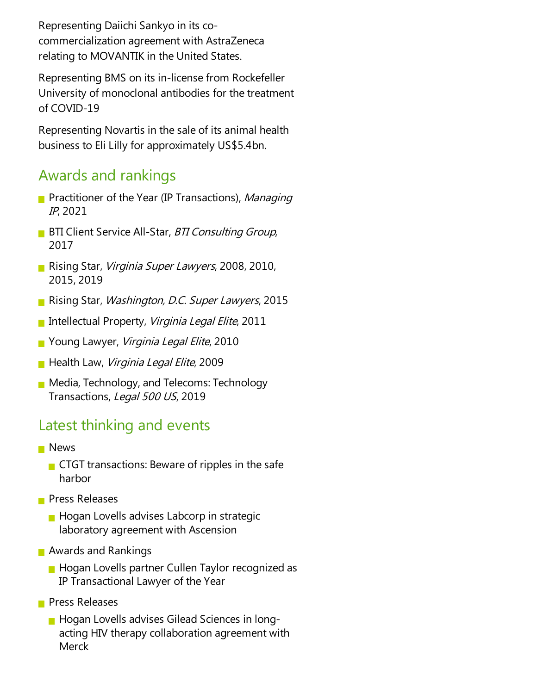Representing Daiichi Sankyo in its cocommercialization agreement with AstraZeneca relating to MOVANTIK in the United States.

Representing BMS on its in-license from Rockefeller University of monoclonal antibodies for the treatment of COVID-19

Representing Novartis in the sale of its animal health business to Eli Lilly for approximately US\$5.4bn.

#### Awards and rankings

- **Practitioner of the Year (IP Transactions), Managing** IP, 2021
- **BTI Client Service All-Star, BTI Consulting Group,** 2017
- Rising Star, Virginia Super Lawyers, 2008, 2010, 2015, 2019
- Rising Star, Washington, D.C. Super Lawyers, 2015
- Intellectual Property, Virginia Legal Elite, 2011
- **Young Lawyer, Virginia Legal Elite, 2010**
- **Health Law, Virginia Legal Elite, 2009**
- **Media, Technology, and Telecoms: Technology** Transactions, Legal 500 US, 2019

#### Latest thinking and events

- **News** 
	- $\blacksquare$  CTGT transactions: Beware of ripples in the safe harbor
- **Press Releases** 
	- $\blacksquare$  Hogan Lovells advises Labcorp in strategic laboratory agreement with Ascension
- **Awards and Rankings** 
	- **Hogan Lovells partner Cullen Taylor recognized as** IP Transactional Lawyer of the Year
- **Press Releases** 
	- **Hogan Lovells advises Gilead Sciences in long**acting HIV therapy collaboration agreement with **Merck**